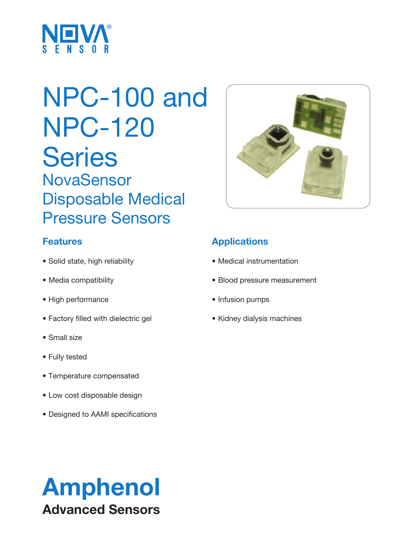

# NPC-100 and NPC-120 **Series NovaSensor** Disposable Medical Pressure Sensors

# **Features**

- Solid state, high reliability
- Media compatibility
- High performance
- Factory filled with dielectric gel
- Small size
- Fully tested
- Temperature compensated
- Low cost disposable design
- Designed to AAMI specifications



# **Applications**

- Medical instrumentation
- Blood pressure measurement
- Infusion pumps
- Kidney dialysis machines

# Amphenol Advanced Sensors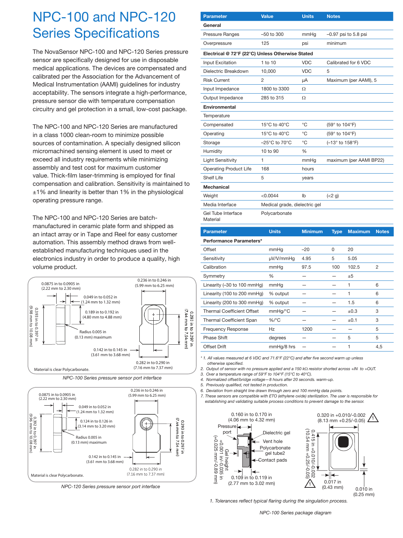# NPC-100 and NPC-120 Series Specifications

The NovaSensor NPC-100 and NPC-120 Series pressure sensor are specifically designed for use in disposable medical applications. The devices are compensated and calibrated per the Association for the Advancement of Medical Instrumentation (AAMI) guidelines for industry acceptability. The sensors integrate a high-performance, pressure sensor die with temperature compensation circuitry and gel protection in a small, low-cost package.

The NPC-100 and NPC-120 Series are manufactured in a class 1000 clean-room to minimize possible sources of contamination. A specially designed silicon micromachined sensing element is used to meet or exceed all industry requirements while minimizing assembly and test cost for maximum customer value. Thick-film laser-trimming is employed for final compensation and calibration. Sensitivity is maintained to ±1% and linearity is better than 1% in the physiological operating pressure range.

The NPC-100 and NPC-120 Series are batchmanufactured in ceramic plate form and shipped as an intact array or in Tape and Reel for easy customer automation. This assembly method draws from wellestablished manufacturing techniques used in the electronics industry in order to produce a quality, high volume product.



*NPC-100 Series pressure sensor port interface*



*NPC-120 Series pressure sensor port interface*

| <b>Parameter</b>                                 | <b>Value</b>                       | <b>Units</b>   | <b>Notes</b>            |                |              |  |  |  |  |
|--------------------------------------------------|------------------------------------|----------------|-------------------------|----------------|--------------|--|--|--|--|
| General                                          |                                    |                |                         |                |              |  |  |  |  |
| Pressure Ranges                                  | $-50$ to $300$                     | mmHg           | $-0.97$ psi to 5.8 psi  |                |              |  |  |  |  |
| Overpressure                                     | 125                                | psi            | minimum                 |                |              |  |  |  |  |
| Electrical @ 72°F (22°C) Unless Otherwise Stated |                                    |                |                         |                |              |  |  |  |  |
| Input Excitation                                 | $1$ to $10$                        | <b>VDC</b>     | Calibrated for 6 VDC    |                |              |  |  |  |  |
| Dielectric Breakdown                             | 10.000                             | <b>VDC</b>     | 5                       |                |              |  |  |  |  |
| <b>Risk Current</b>                              | 2                                  | μA             | Maximum (per AAMI), 5   |                |              |  |  |  |  |
| Input Impedance                                  | 1800 to 3300                       | Ω              |                         |                |              |  |  |  |  |
| Output Impedance                                 | 285 to 315                         | Ω              |                         |                |              |  |  |  |  |
| Environmental                                    |                                    |                |                         |                |              |  |  |  |  |
| Temperature                                      |                                    |                |                         |                |              |  |  |  |  |
| Compensated                                      | 15°C to 40°C                       | °C             | (59° to 104°F)          |                |              |  |  |  |  |
| Operating                                        | 15°C to 40°C                       | °C             | (59° to 104°F)          |                |              |  |  |  |  |
| Storage                                          | $-25^{\circ}$ C to 70 $^{\circ}$ C | °C             | (-13° to 158°F)         |                |              |  |  |  |  |
| Humidity                                         | 10 to 90                           | %              |                         |                |              |  |  |  |  |
| <b>Light Sensitivity</b>                         | 1                                  | mmHg           | maximum (per AAMI BP22) |                |              |  |  |  |  |
| <b>Operating Product Life</b>                    | 168                                | hours          |                         |                |              |  |  |  |  |
| Shelf Life                                       | 5                                  | years          |                         |                |              |  |  |  |  |
| <b>Mechanical</b>                                |                                    |                |                         |                |              |  |  |  |  |
| Weight                                           | < 0.0044                           | Ib             | (<2 g)                  |                |              |  |  |  |  |
| Media Interface                                  | Medical grade, dielectric gel      |                |                         |                |              |  |  |  |  |
| Gel Tube Interface<br>Material                   | Polycarbonate                      |                |                         |                |              |  |  |  |  |
| <b>Parameter</b>                                 | <b>Units</b>                       | <b>Minimum</b> | <b>Type</b>             | <b>Maximum</b> | <b>Notes</b> |  |  |  |  |
| Performance Parameters*                          |                                    |                |                         |                |              |  |  |  |  |
| Offset                                           | mmHg                               | $-20$          | 0                       | 20             |              |  |  |  |  |
| Sensitivity                                      | µV/V/mmHg                          | 4.95           | 5                       | 5.05           |              |  |  |  |  |
| Calibration                                      | mmHn                               | 975            | 100                     | 102.5          | っ            |  |  |  |  |

| Sensitivity                                    | µV/V/mmHg  | 4.95 | 5   | 5.05  |     |
|------------------------------------------------|------------|------|-----|-------|-----|
| Calibration                                    | mmHg       | 97.5 | 100 | 102.5 | 2   |
| Symmetry                                       | ℅          |      |     | ±5    |     |
| Linearity $(-30 \text{ to } 100 \text{ mmHg})$ | mmHg       |      |     |       | 6   |
| Linearity (100 to 200 mmHg)                    | % output   |      |     |       | 6   |
| Linearity (200 to 300 mmHg)                    | % output   |      |     | 1.5   | 6   |
| <b>Thermal Coefficient Offset</b>              | mmHg/°C    |      |     | ±0.3  | 3   |
| <b>Thermal Coefficient Span</b>                | $%$ /°C    |      |     | ±0.1  | 3   |
| <b>Frequency Response</b>                      | Hz         | 1200 |     |       | 5   |
| Phase Shift                                    | degrees    |      |     | 5     | 5   |
| <b>Offset Drift</b>                            | mmHg/8 hrs |      |     |       | 4.5 |

*\* 1. All values measured at 6 VDC and 71.6°F (22°C) and after five second warm up unless otherwise specified.*

2. Output of sensor with no pressure applied and a 150 k $\Omega$  resistor shorted across +IN to +OUT.

*3. Over a temperature range of 59°F to 104°F (15°C to 40°C).*

*4. Normalized offset/bridge voltage—8 hours after 20 seconds. warm-up.*

*5. Previously qualified, not tested in production.*

L

*6. Deviation from straight line drawn through zero and 100 mmHg data points.*

*7. These sensors are compatible with ETO (ethylene oxide) sterilization. The user is responsible for establishing and validating suitable process conditions to prevent damage to the sensor.*

1



*1. Tolerances reflect typical flaring during the singulation process.*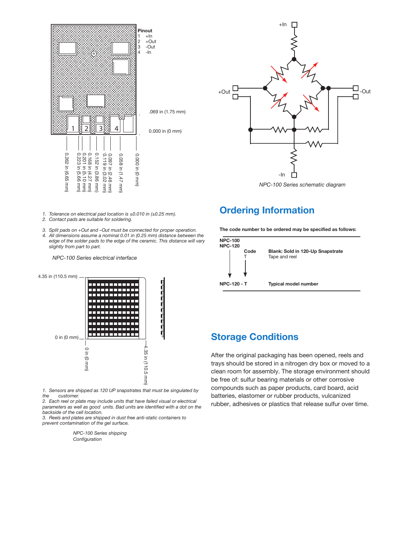



*NPC-100 Series schematic diagram*

### **Ordering Information**

**The code number to be ordered may be specified as follows:**



#### *1. Tolerance on electrical pad location is ±0.010 in (±0.25 mm).*

- 
- *edge of the solder pads to the edge of the ceramic. This distance will vary*



*1. Sensors are shipped as 120 UP snapstrates that must be singulated by the customer.*

*2. Each reel or plate may include units that have failed visual or electrical parameters as well as good units. Bad units are identified with a dot on the backside of the cell location.*

*3. Reels and plates are shipped in dust free anti-static containers to prevent contamination of the gel surface.*

> *NPC-100 Series shipping Configuration*

### **Storage Conditions**

After the original packaging has been opened, reels and trays should be stored in a nitrogen dry box or moved to a clean room for assembly. The storage environment should be free of: sulfur bearing materials or other corrosive compounds such as paper products, card board, acid batteries, elastomer or rubber products, vulcanized rubber, adhesives or plastics that release sulfur over time.

- *2. Contact pads are suitable for soldering.*
- *3. Split pads on +Out and –Out must be connected for proper operation.*
- *4. All dimensions assume a nominal 0.01 in (0.25 mm) distance between the slightly from part to part.*

*NPC-100 Series electrical interface*